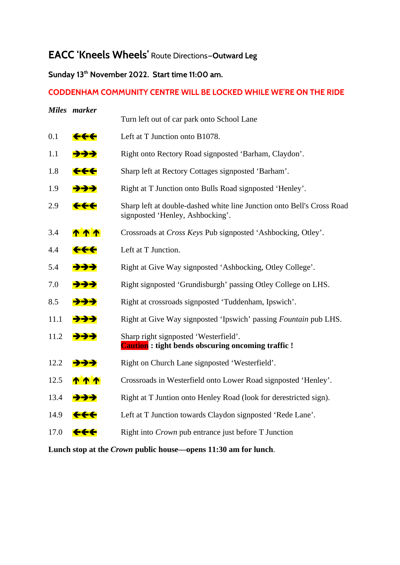# **EACC 'Kneels Wheels'** Route Directions—**Outward Leg**

## **Sunday 13th November 2022. Start time 11:00 am.**

### **CODDENHAM COMMUNITY CENTRE WILL BE LOCKED WHILE WE'RE ON THE RIDE**

|      | Miles marker   |                                                                                                            |
|------|----------------|------------------------------------------------------------------------------------------------------------|
|      |                | Turn left out of car park onto School Lane                                                                 |
| 0.1  | <del>444</del> | Left at T Junction onto B1078.                                                                             |
| 1.1  | ナナナ            | Right onto Rectory Road signposted 'Barham, Claydon'.                                                      |
| 1.8  | <del>444</del> | Sharp left at Rectory Cottages signposted 'Barham'.                                                        |
| 1.9  | ナナナ            | Right at T Junction onto Bulls Road signposted 'Henley'.                                                   |
| 2.9  | <del>444</del> | Sharp left at double-dashed white line Junction onto Bell's Cross Road<br>signposted 'Henley, Ashbocking'. |
| 3.4  | <u> ተ ተ ተ </u> | Crossroads at Cross Keys Pub signposted 'Ashbocking, Otley'.                                               |
| 4.4  | <del>444</del> | Left at T Junction.                                                                                        |
| 5.4  | ナナナ            | Right at Give Way signposted 'Ashbocking, Otley College'.                                                  |
| 7.0  | <del>ナナナ</del> | Right signposted 'Grundisburgh' passing Otley College on LHS.                                              |
| 8.5  | ナナナ            | Right at crossroads signposted 'Tuddenham, Ipswich'.                                                       |
| 11.1 | ナナナ            | Right at Give Way signposted 'Ipswich' passing Fountain pub LHS.                                           |
| 11.2 | ナナナ            | Sharp right signposted 'Westerfield'.<br><b>Caution</b> : tight bends obscuring oncoming traffic!          |
| 12.2 | <del>→→→</del> | Right on Church Lane signposted 'Westerfield'.                                                             |
| 12.5 | <u>ጥጥጥ</u>     | Crossroads in Westerfield onto Lower Road signposted 'Henley'.                                             |
| 13.4 | ナナナ            | Right at T Juntion onto Henley Road (look for derestricted sign).                                          |
| 14.9 | <del>444</del> | Left at T Junction towards Claydon signposted 'Rede Lane'.                                                 |
| 17.0 | <del>444</del> | Right into <i>Crown</i> pub entrance just before T Junction                                                |
|      |                |                                                                                                            |

**Lunch stop at the** *Crown* **public house—opens 11:30 am for lunch**.